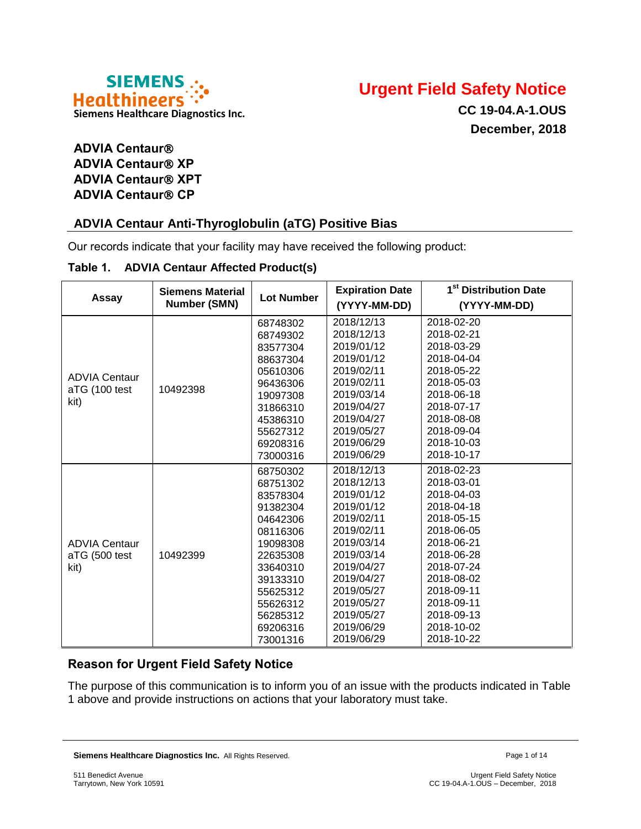



**CC 19-04.A-1.OUS December, 2018**

# **ADVIA Centaur ADVIA Centaur® XP ADVIA Centaur<sup>®</sup> XPT ADVIA Centaur® CP**

# **ADVIA Centaur Anti-Thyroglobulin (aTG) Positive Bias**

Our records indicate that your facility may have received the following product:

#### **Table 1. ADVIA Centaur Affected Product(s)**

| Assay                                         | <b>Siemens Material</b><br>Number (SMN) | <b>Lot Number</b>                                                                                                                                                                | <b>Expiration Date</b><br>(YYYY-MM-DD)                                                                                                                                                                         | 1 <sup>st</sup> Distribution Date<br>(YYYY-MM-DD)                                                                                                                                                              |
|-----------------------------------------------|-----------------------------------------|----------------------------------------------------------------------------------------------------------------------------------------------------------------------------------|----------------------------------------------------------------------------------------------------------------------------------------------------------------------------------------------------------------|----------------------------------------------------------------------------------------------------------------------------------------------------------------------------------------------------------------|
| <b>ADVIA Centaur</b><br>aTG (100 test<br>kit) | 10492398                                | 68748302<br>68749302<br>83577304<br>88637304<br>05610306<br>96436306<br>19097308<br>31866310<br>45386310<br>55627312<br>69208316<br>73000316                                     | 2018/12/13<br>2018/12/13<br>2019/01/12<br>2019/01/12<br>2019/02/11<br>2019/02/11<br>2019/03/14<br>2019/04/27<br>2019/04/27<br>2019/05/27<br>2019/06/29<br>2019/06/29                                           | 2018-02-20<br>2018-02-21<br>2018-03-29<br>2018-04-04<br>2018-05-22<br>2018-05-03<br>2018-06-18<br>2018-07-17<br>2018-08-08<br>2018-09-04<br>2018-10-03<br>2018-10-17                                           |
| <b>ADVIA Centaur</b><br>aTG (500 test<br>kit) | 10492399                                | 68750302<br>68751302<br>83578304<br>91382304<br>04642306<br>08116306<br>19098308<br>22635308<br>33640310<br>39133310<br>55625312<br>55626312<br>56285312<br>69206316<br>73001316 | 2018/12/13<br>2018/12/13<br>2019/01/12<br>2019/01/12<br>2019/02/11<br>2019/02/11<br>2019/03/14<br>2019/03/14<br>2019/04/27<br>2019/04/27<br>2019/05/27<br>2019/05/27<br>2019/05/27<br>2019/06/29<br>2019/06/29 | 2018-02-23<br>2018-03-01<br>2018-04-03<br>2018-04-18<br>2018-05-15<br>2018-06-05<br>2018-06-21<br>2018-06-28<br>2018-07-24<br>2018-08-02<br>2018-09-11<br>2018-09-11<br>2018-09-13<br>2018-10-02<br>2018-10-22 |

# **Reason for Urgent Field Safety Notice**

The purpose of this communication is to inform you of an issue with the products indicated in Table 1 above and provide instructions on actions that your laboratory must take.

**Siemens Healthcare Diagnostics Inc.** All Rights Reserved. **Page 1 of 14** and  $P$  and  $P$  and  $P$  and  $P$  and  $P$  and  $P$  and  $P$  and  $P$  and  $P$  and  $P$  and  $P$  and  $P$  and  $P$  and  $P$  and  $P$  and  $P$  and  $P$  and  $P$  and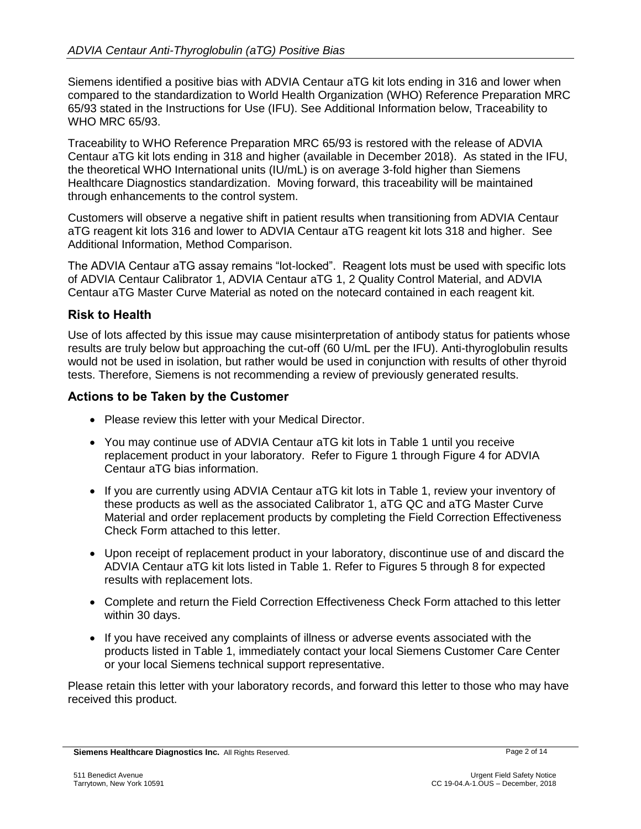Siemens identified a positive bias with ADVIA Centaur aTG kit lots ending in 316 and lower when compared to the standardization to World Health Organization (WHO) Reference Preparation MRC 65/93 stated in the Instructions for Use (IFU). See Additional Information below, Traceability to WHO MRC 65/93.

Traceability to WHO Reference Preparation MRC 65/93 is restored with the release of ADVIA Centaur aTG kit lots ending in 318 and higher (available in December 2018). As stated in the IFU, the theoretical WHO International units (IU/mL) is on average 3-fold higher than Siemens Healthcare Diagnostics standardization. Moving forward, this traceability will be maintained through enhancements to the control system.

Customers will observe a negative shift in patient results when transitioning from ADVIA Centaur aTG reagent kit lots 316 and lower to ADVIA Centaur aTG reagent kit lots 318 and higher. See Additional Information, Method Comparison.

The ADVIA Centaur aTG assay remains "lot-locked". Reagent lots must be used with specific lots of ADVIA Centaur Calibrator 1, ADVIA Centaur aTG 1, 2 Quality Control Material, and ADVIA Centaur aTG Master Curve Material as noted on the notecard contained in each reagent kit.

### **Risk to Health**

Use of lots affected by this issue may cause misinterpretation of antibody status for patients whose results are truly below but approaching the cut-off (60 U/mL per the IFU). Anti-thyroglobulin results would not be used in isolation, but rather would be used in conjunction with results of other thyroid tests. Therefore, Siemens is not recommending a review of previously generated results.

### **Actions to be Taken by the Customer**

- Please review this letter with your Medical Director.
- You may continue use of ADVIA Centaur aTG kit lots in Table 1 until you receive replacement product in your laboratory. Refer to Figure 1 through Figure 4 for ADVIA Centaur aTG bias information.
- If you are currently using ADVIA Centaur aTG kit lots in Table 1, review your inventory of these products as well as the associated Calibrator 1, aTG QC and aTG Master Curve Material and order replacement products by completing the Field Correction Effectiveness Check Form attached to this letter.
- Upon receipt of replacement product in your laboratory, discontinue use of and discard the ADVIA Centaur aTG kit lots listed in Table 1. Refer to Figures 5 through 8 for expected results with replacement lots.
- Complete and return the Field Correction Effectiveness Check Form attached to this letter within 30 days.
- If you have received any complaints of illness or adverse events associated with the products listed in Table 1, immediately contact your local Siemens Customer Care Center or your local Siemens technical support representative.

Please retain this letter with your laboratory records, and forward this letter to those who may have received this product.

**Siemens Healthcare Diagnostics Inc.** All Rights Reserved. **Page 2 of 14** Page 2 of 14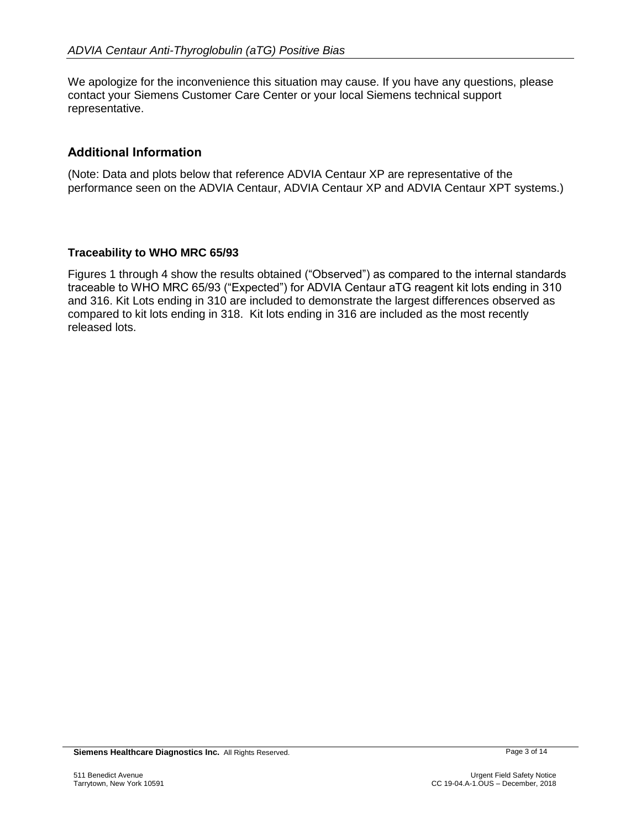We apologize for the inconvenience this situation may cause. If you have any questions, please contact your Siemens Customer Care Center or your local Siemens technical support representative.

# **Additional Information**

(Note: Data and plots below that reference ADVIA Centaur XP are representative of the performance seen on the ADVIA Centaur, ADVIA Centaur XP and ADVIA Centaur XPT systems.)

### **Traceability to WHO MRC 65/93**

Figures 1 through 4 show the results obtained ("Observed") as compared to the internal standards traceable to WHO MRC 65/93 ("Expected") for ADVIA Centaur aTG reagent kit lots ending in 310 and 316. Kit Lots ending in 310 are included to demonstrate the largest differences observed as compared to kit lots ending in 318. Kit lots ending in 316 are included as the most recently released lots.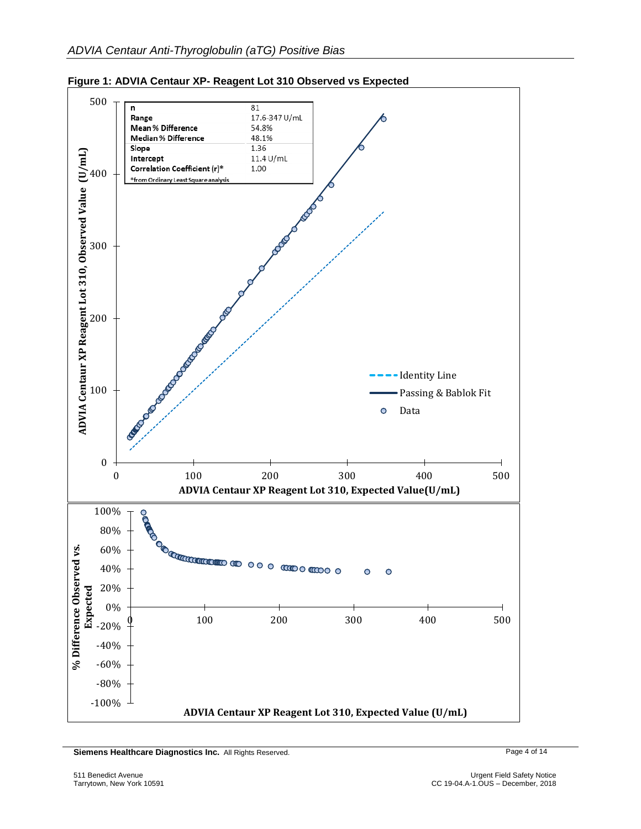

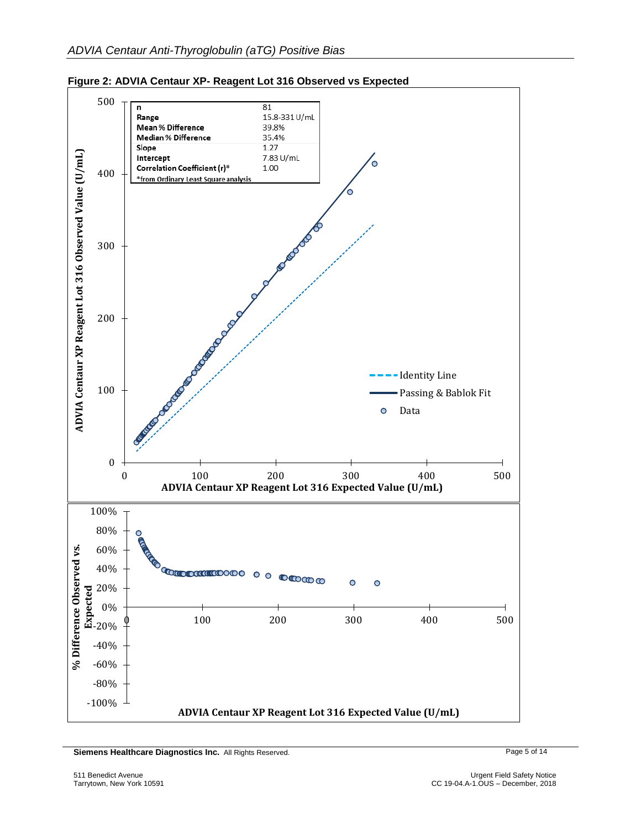



**Siemens Healthcare Diagnostics Inc.** All Rights Reserved. **Page 5 of 14** Page 5 of 14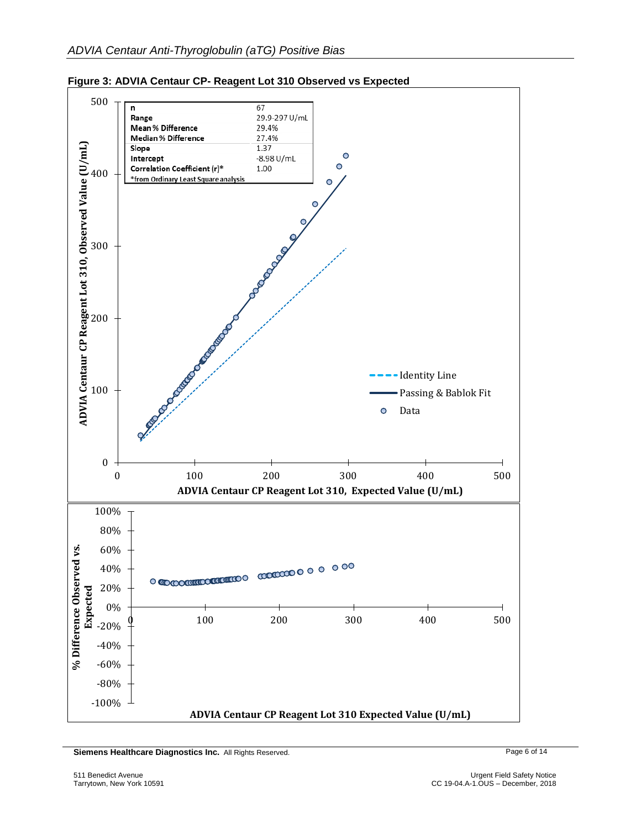

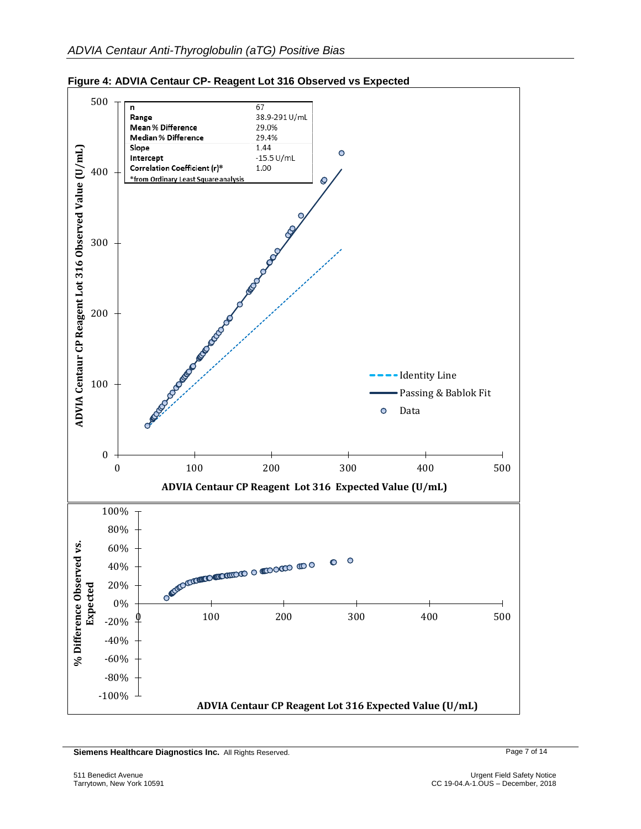

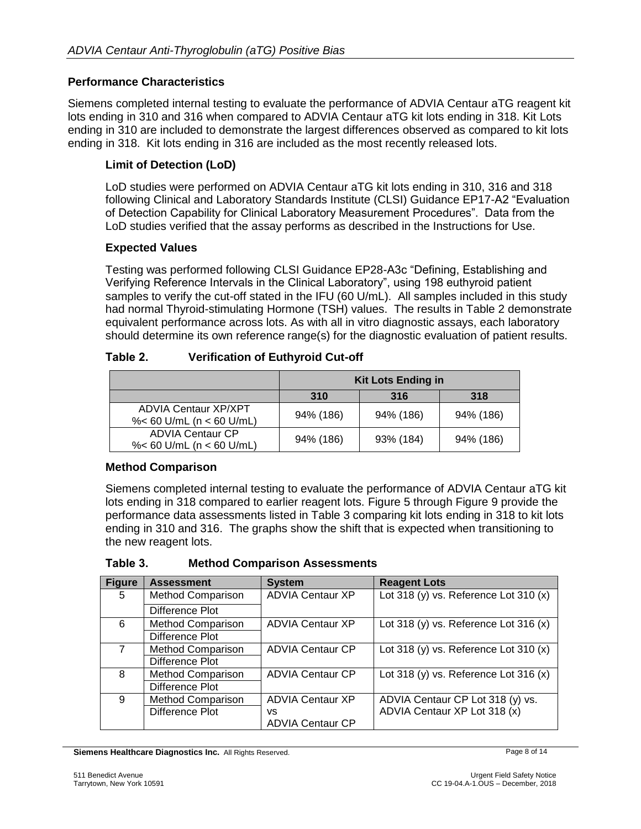### **Performance Characteristics**

Siemens completed internal testing to evaluate the performance of ADVIA Centaur aTG reagent kit lots ending in 310 and 316 when compared to ADVIA Centaur aTG kit lots ending in 318. Kit Lots ending in 310 are included to demonstrate the largest differences observed as compared to kit lots ending in 318. Kit lots ending in 316 are included as the most recently released lots.

### **Limit of Detection (LoD)**

LoD studies were performed on ADVIA Centaur aTG kit lots ending in 310, 316 and 318 following Clinical and Laboratory Standards Institute (CLSI) Guidance EP17-A2 "Evaluation of Detection Capability for Clinical Laboratory Measurement Procedures". Data from the LoD studies verified that the assay performs as described in the Instructions for Use.

#### **Expected Values**

Testing was performed following CLSI Guidance EP28-A3c "Defining, Establishing and Verifying Reference Intervals in the Clinical Laboratory", using 198 euthyroid patient samples to verify the cut-off stated in the IFU (60 U/mL). All samples included in this study had normal Thyroid-stimulating Hormone (TSH) values. The results in Table 2 demonstrate equivalent performance across lots. As with all in vitro diagnostic assays, each laboratory should determine its own reference range(s) for the diagnostic evaluation of patient results.

| Table 2. | <b>Verification of Euthyroid Cut-off</b> |  |
|----------|------------------------------------------|--|
|          |                                          |  |

|                                                            | <b>Kit Lots Ending in</b> |           |           |
|------------------------------------------------------------|---------------------------|-----------|-----------|
|                                                            | 310                       | 316       | 318       |
| <b>ADVIA Centaur XP/XPT</b><br>%< 60 U/mL ( $n < 60$ U/mL) | 94% (186)                 | 94% (186) | 94% (186) |
| <b>ADVIA Centaur CP</b><br>%< 60 U/mL ( $n < 60$ U/mL)     | 94% (186)                 | 93% (184) | 94% (186) |

#### **Method Comparison**

Siemens completed internal testing to evaluate the performance of ADVIA Centaur aTG kit lots ending in 318 compared to earlier reagent lots. Figure 5 through Figure 9 provide the performance data assessments listed in Table 3 comparing kit lots ending in 318 to kit lots ending in 310 and 316. The graphs show the shift that is expected when transitioning to the new reagent lots.

| Table 3. | <b>Method Comparison Assessments</b> |
|----------|--------------------------------------|
|----------|--------------------------------------|

| <b>Figure</b>  | <b>Assessment</b>        | <b>System</b>           | <b>Reagent Lots</b>                     |
|----------------|--------------------------|-------------------------|-----------------------------------------|
| 5              | <b>Method Comparison</b> | <b>ADVIA Centaur XP</b> | Lot 318 (y) vs. Reference Lot 310 (x)   |
|                | Difference Plot          |                         |                                         |
| 6              | <b>Method Comparison</b> | <b>ADVIA Centaur XP</b> | Lot 318 (y) vs. Reference Lot 316 $(x)$ |
|                | Difference Plot          |                         |                                         |
| $\overline{7}$ | <b>Method Comparison</b> | <b>ADVIA Centaur CP</b> | Lot 318 (y) vs. Reference Lot 310 $(x)$ |
|                | Difference Plot          |                         |                                         |
| 8              | <b>Method Comparison</b> | <b>ADVIA Centaur CP</b> | Lot 318 (y) vs. Reference Lot 316 $(x)$ |
|                | Difference Plot          |                         |                                         |
| 9              | <b>Method Comparison</b> | <b>ADVIA Centaur XP</b> | ADVIA Centaur CP Lot 318 (y) vs.        |
|                | Difference Plot          | vs.                     | ADVIA Centaur XP Lot 318 (x)            |
|                |                          | <b>ADVIA Centaur CP</b> |                                         |

**Siemens Healthcare Diagnostics Inc.** All Rights Reserved. **Page 8 of 14** Page 8 of 14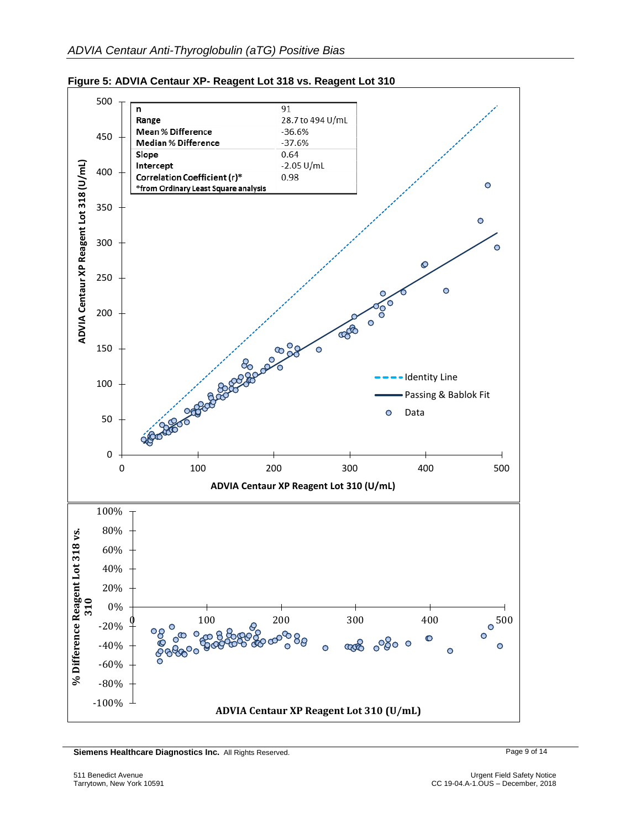



**Siemens Healthcare Diagnostics Inc.** All Rights Reserved. **Page 9 of 14** Page 9 of 14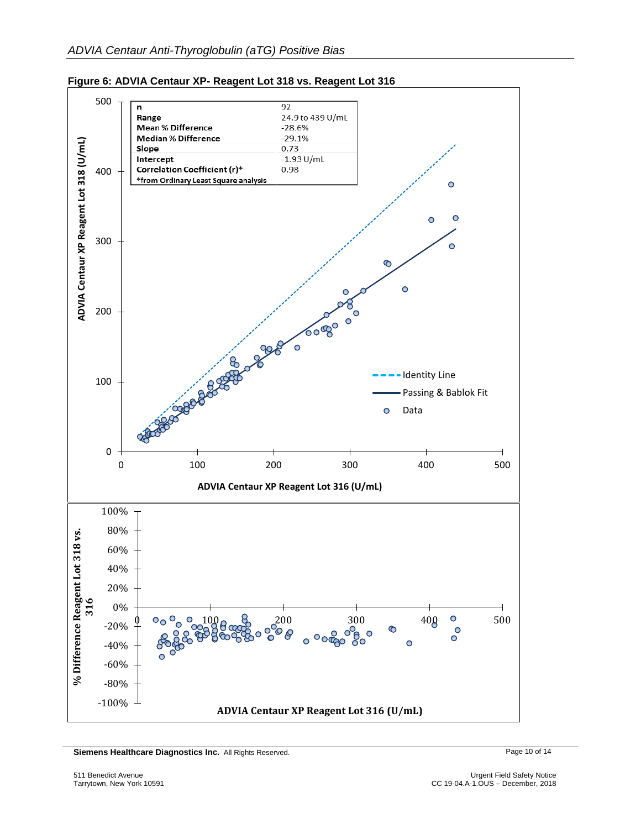

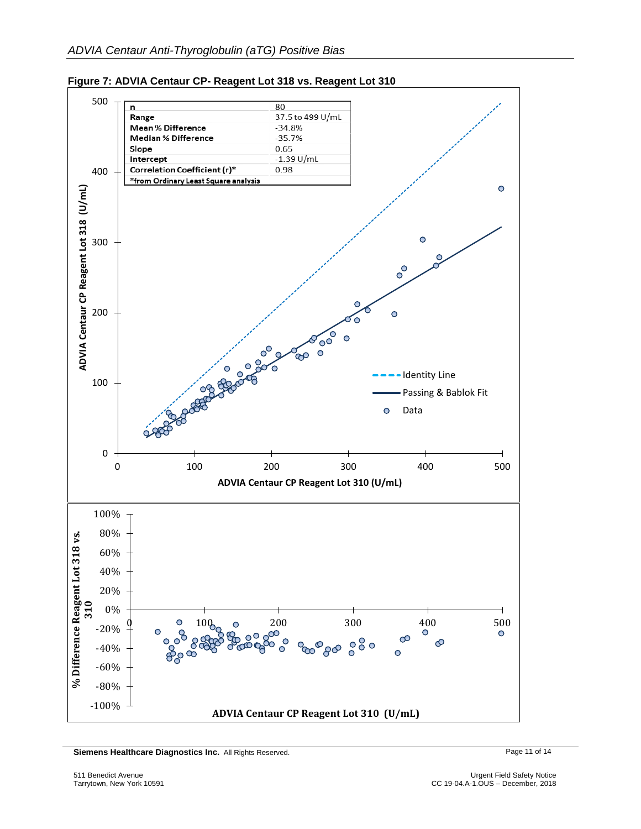



**Siemens Healthcare Diagnostics Inc.** All Rights Reserved. Page 11 of 14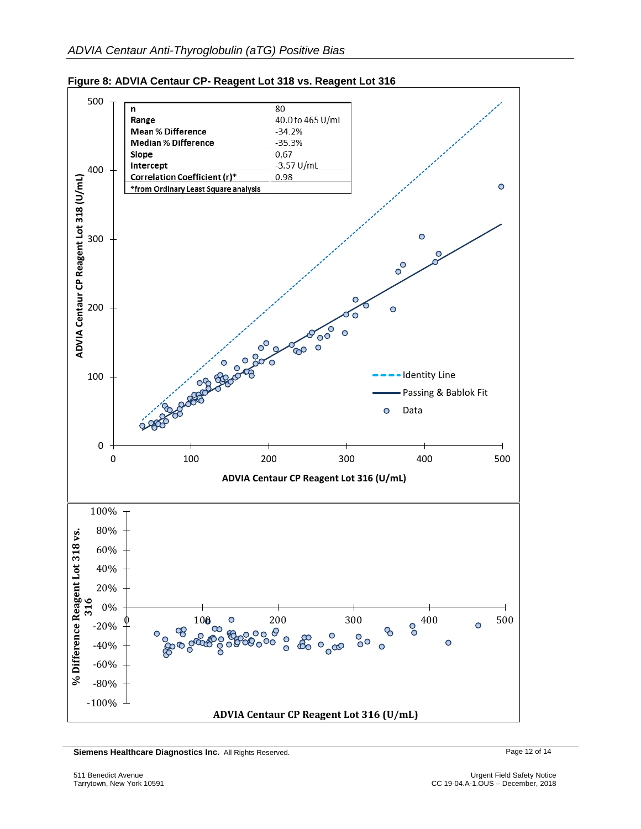



**Siemens Healthcare Diagnostics Inc.** All Rights Reserved. Page 12 of 14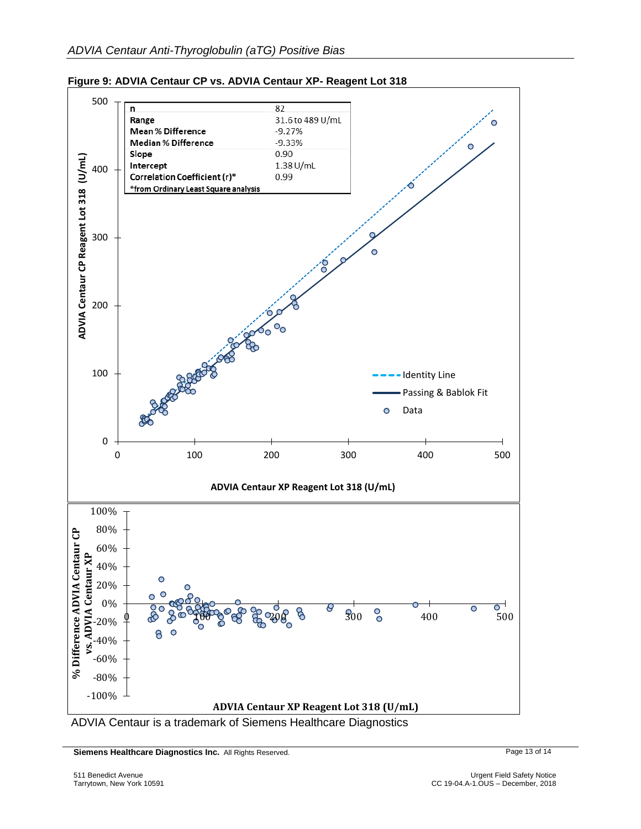



ADVIA Centaur is a trademark of Siemens Healthcare Diagnostics

**Siemens Healthcare Diagnostics Inc.** All Rights Reserved. Page 13 of 14